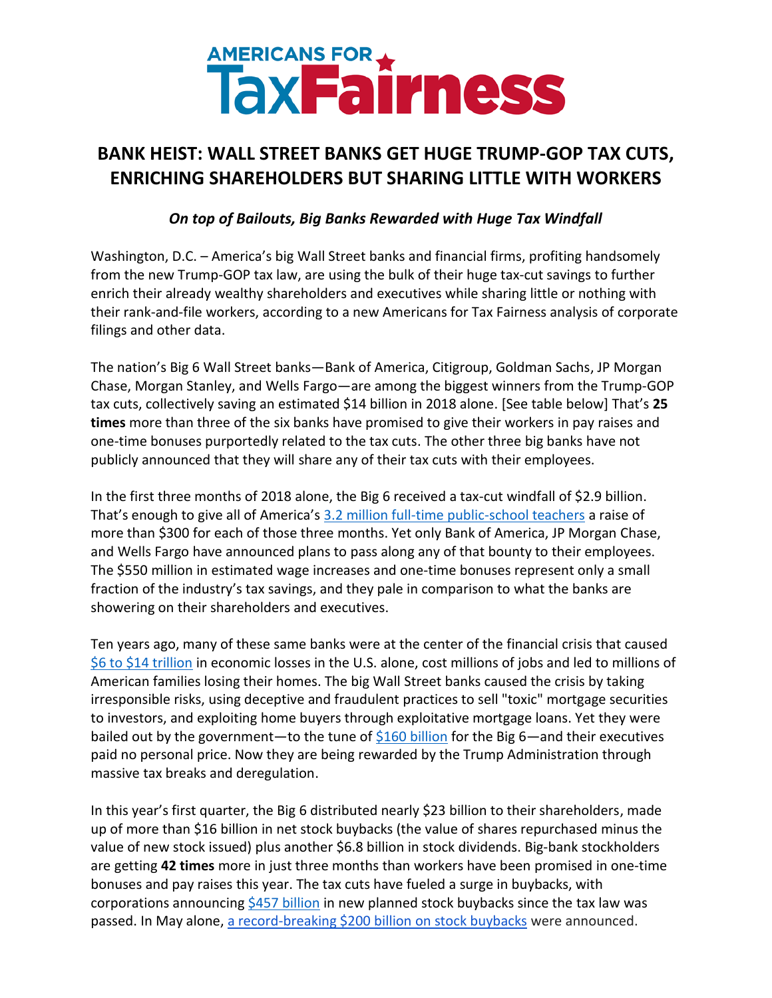## AMERICANS FOR \*\*

## **BANK HEIST: WALL STREET BANKS GET HUGE TRUMP-GOP TAX CUTS, ENRICHING SHAREHOLDERS BUT SHARING LITTLE WITH WORKERS**

*On top of Bailouts, Big Banks Rewarded with Huge Tax Windfall*

Washington, D.C. – America's big Wall Street banks and financial firms, profiting handsomely from the new Trump-GOP tax law, are using the bulk of their huge tax-cut savings to further enrich their already wealthy shareholders and executives while sharing little or nothing with their rank-and-file workers, according to a new Americans for Tax Fairness analysis of corporate filings and other data.

The nation's Big 6 Wall Street banks—Bank of America, Citigroup, Goldman Sachs, JP Morgan Chase, Morgan Stanley, and Wells Fargo—are among the biggest winners from the Trump-GOP tax cuts, collectively saving an estimated \$14 billion in 2018 alone. [See table below] That's **25 times** more than three of the six banks have promised to give their workers in pay raises and one-time bonuses purportedly related to the tax cuts. The other three big banks have not publicly announced that they will share any of their tax cuts with their employees.

In the first three months of 2018 alone, the Big 6 received a tax-cut windfall of \$2.9 billion. That's enough to give all of America's [3.2 million full-time public-school teachers](https://nces.ed.gov/fastfacts/display.asp?id=372) a raise of more than \$300 for each of those three months. Yet only Bank of America, JP Morgan Chase, and Wells Fargo have announced plans to pass along any of that bounty to their employees. The \$550 million in estimated wage increases and one-time bonuses represent only a small fraction of the industry's tax savings, and they pale in comparison to what the banks are showering on their shareholders and executives.

Ten years ago, many of these same banks were at the center of the financial crisis that caused [\\$6 to \\$14](http://ourfinancialsecurity.org/wp-content/uploads/2012/09/CostCrisis2015July-Long-1.pdf) trillion in economic losses in the U.S. alone, cost millions of jobs and led to millions of American families losing their homes. The big Wall Street banks caused the crisis by taking irresponsible risks, using deceptive and fraudulent practices to sell "toxic" mortgage securities to investors, and exploiting home buyers through exploitative mortgage loans. Yet they were bailed out by the government—to the tune of  $$160$  billion for the Big 6—and their executives paid no personal price. Now they are being rewarded by the Trump Administration through massive tax breaks and deregulation.

In this year's first quarter, the Big 6 distributed nearly \$23 billion to their shareholders, made up of more than \$16 billion in net stock buybacks (the value of shares repurchased minus the value of new stock issued) plus another \$6.8 billion in stock dividends. Big-bank stockholders are getting **42 times** more in just three months than workers have been promised in one-time bonuses and pay raises this year. The tax cuts have fueled a surge in buybacks, with corporations announcin[g \\$457 billion](https://americansfortaxfairness.org/stock-buybacks/) in new planned stock buybacks since the tax law was passed. In May alone, [a record-breaking \\$200 billion on stock buybacks](http://click.actionnetwork.org/mpss/c/1QA/kLwXAA/t.2i3/Joymn01pSMm5cxQGqQam8g/h3/rSH83G0cyXDbNAuZMthFhwRnp-2FYJzdUlcbQ-2BL9uy8akDqAC0V4D-2Bh-2F-2FWac-2BpLvffx6LtacNqJllsSd784n-2FcpMH73ux6NfrNJ-2BeCbXC9hCaQWzfVb4p1yorK7LiHOO3HHk6MwHugtfGutunvvXv300AxgDADvjpf-2FcPqZihSZ6-2B-2F9NuFD-2FqmIRAN5neglVS3Cl1iH5DLnPEzo4ZKGR0eMXsMRoMVFVkQrUfWJGk-2FNCQezQSAvkhcgXyXc7DDFy7FkKTYdbOqJfPrPEsr-2BsAnA6B9Qe9fQz2M5JpGNnUtQzcyaOMfVjjMpVpaMH8eTP3QcoBqDlbx5uUaas-2BwJXzhpb9TdEtqL1uIicZuh6L5irVNld33trgodCQO2b3NxUzx) were announced.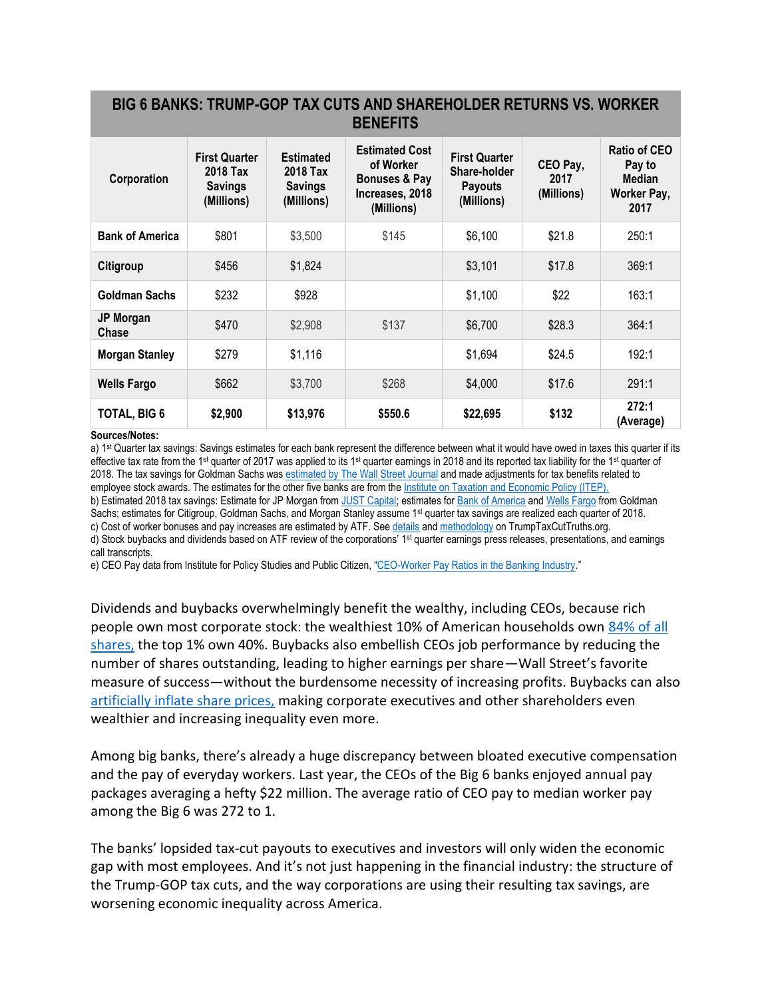## **BIG 6 BANKS: TRUMP-GOP TAX CUTS AND SHAREHOLDER RETURNS VS. WORKER BENEFITS**

| Corporation            | <b>First Quarter</b><br>2018 Tax<br><b>Savings</b><br>(Millions) | <b>Estimated</b><br>2018 Tax<br><b>Savings</b><br>(Millions) | <b>Estimated Cost</b><br>of Worker<br><b>Bonuses &amp; Pay</b><br>Increases, 2018<br>(Millions) | <b>First Quarter</b><br>Share-holder<br><b>Payouts</b><br>(Millions) | CEO Pay,<br>2017<br>(Millions) | <b>Ratio of CEO</b><br>Pay to<br>Median<br>Worker Pay,<br>2017 |
|------------------------|------------------------------------------------------------------|--------------------------------------------------------------|-------------------------------------------------------------------------------------------------|----------------------------------------------------------------------|--------------------------------|----------------------------------------------------------------|
| <b>Bank of America</b> | \$801                                                            | \$3,500                                                      | \$145                                                                                           | \$6,100                                                              | \$21.8                         | 250:1                                                          |
| Citigroup              | \$456                                                            | \$1,824                                                      |                                                                                                 | \$3,101                                                              | \$17.8                         | 369:1                                                          |
| <b>Goldman Sachs</b>   | \$232                                                            | \$928                                                        |                                                                                                 | \$1,100                                                              | \$22                           | 163:1                                                          |
| JP Morgan<br>Chase     | \$470                                                            | \$2,908                                                      | \$137                                                                                           | \$6,700                                                              | \$28.3                         | 364:1                                                          |
| <b>Morgan Stanley</b>  | \$279                                                            | \$1,116                                                      |                                                                                                 | \$1,694                                                              | \$24.5                         | 192:1                                                          |
| <b>Wells Fargo</b>     | \$662                                                            | \$3,700                                                      | \$268                                                                                           | \$4,000                                                              | \$17.6                         | 291:1                                                          |
| <b>TOTAL, BIG 6</b>    | \$2,900                                                          | \$13,976                                                     | \$550.6                                                                                         | \$22,695                                                             | \$132                          | 272:1<br>(Average)                                             |

## **Sources/Notes:**

a) 1<sup>st</sup> Quarter tax savings: Savings estimates for each bank represent the difference between what it would have owed in taxes this quarter if its effective tax rate from the 1<sup>st</sup> quarter of 2017 was applied to its 1<sup>st</sup> quarter earnings in 2018 and its reported tax liability for the 1<sup>st</sup> quarter of 2018. The tax savings for Goldman Sachs wa[s estimated by The Wall Street Journal](https://www.wsj.com/articles/the-four-biggest-u-s-banks-made-2-3-billion-from-tax-lawin-one-quarter-1523984836) and made adjustments for tax benefits related to employee stock awards. The estimates for the other five banks are from th[e Institute on Taxation and Economic Policy \(ITEP\).](https://itep.org/15-companies-report-tax-savings-of-6-2-billion-in-first-three-months-of-2018/)

b) Estimated 2018 tax savings: Estimate for JP Morgan from [JUST Capital;](https://justcapital.com/news/tax-reform-rankings/) estimates for [Bank of America](https://apnews.com/37dfbe69fbad41969bfe2a2e1534ed1f/As-companies-give-bonuses,-prospect-of-pay-gains-still-hazy) an[d Wells Fargo](https://slate.com/business/2017/12/wells-fargo-tiny-raise-after-huge-tax-cut.html) from Goldman Sachs; estimates for Citigroup, Goldman Sachs, and Morgan Stanley assume 1<sup>st</sup> quarter tax savings are realized each quarter of 2018. c) Cost of worker bonuses and pay increases are estimated by ATF. Se[e details](https://americansfortaxfairness.org/annual-corporate-tax-cuts/) an[d methodology](https://americansfortaxfairness.org/methodology/) on TrumpTaxCutTruths.org.

d) Stock buybacks and dividends based on ATF review of the corporations' 1<sup>st</sup> quarter earnings press releases, presentations, and earnings call transcripts.

e) CEO Pay data from Institute for Policy Studies and Public Citizen, "[CEO-Worker Pay Ratios in the Banking Industry](https://inequality.org/wp-content/uploads/2018/04/Bank-Pay-Ratios.pdf)."

Dividends and buybacks overwhelmingly benefit the wealthy, including CEOs, because rich people own most corporate stock: the wealthiest 10% of American households own [84% of all](https://www.washingtonpost.com/news/wonk/wp/2017/12/18/for-roughly-half-of-americans-the-stock-markets-record-highs-dont-help-at-all/?utm_term=.1000b0128d92)  [shares,](https://www.washingtonpost.com/news/wonk/wp/2017/12/18/for-roughly-half-of-americans-the-stock-markets-record-highs-dont-help-at-all/?utm_term=.1000b0128d92) the top 1% own 40%. Buybacks also embellish CEOs job performance by reducing the number of shares outstanding, leading to higher earnings per share—Wall Street's favorite measure of success—without the burdensome necessity of increasing profits. Buybacks can also [artificially inflate share prices,](http://rooseveltinstitute.org/wp-content/uploads/2018/03/Stock-buybacks.pdf) making corporate executives and other shareholders even wealthier and increasing inequality even more.

Among big banks, there's already a huge discrepancy between bloated executive compensation and the pay of everyday workers. Last year, the CEOs of the Big 6 banks enjoyed annual pay packages averaging a hefty \$22 million. The average ratio of CEO pay to median worker pay among the Big 6 was 272 to 1.

The banks' lopsided tax-cut payouts to executives and investors will only widen the economic gap with most employees. And it's not just happening in the financial industry: the structure of the Trump-GOP tax cuts, and the way corporations are using their resulting tax savings, are worsening economic inequality across America.